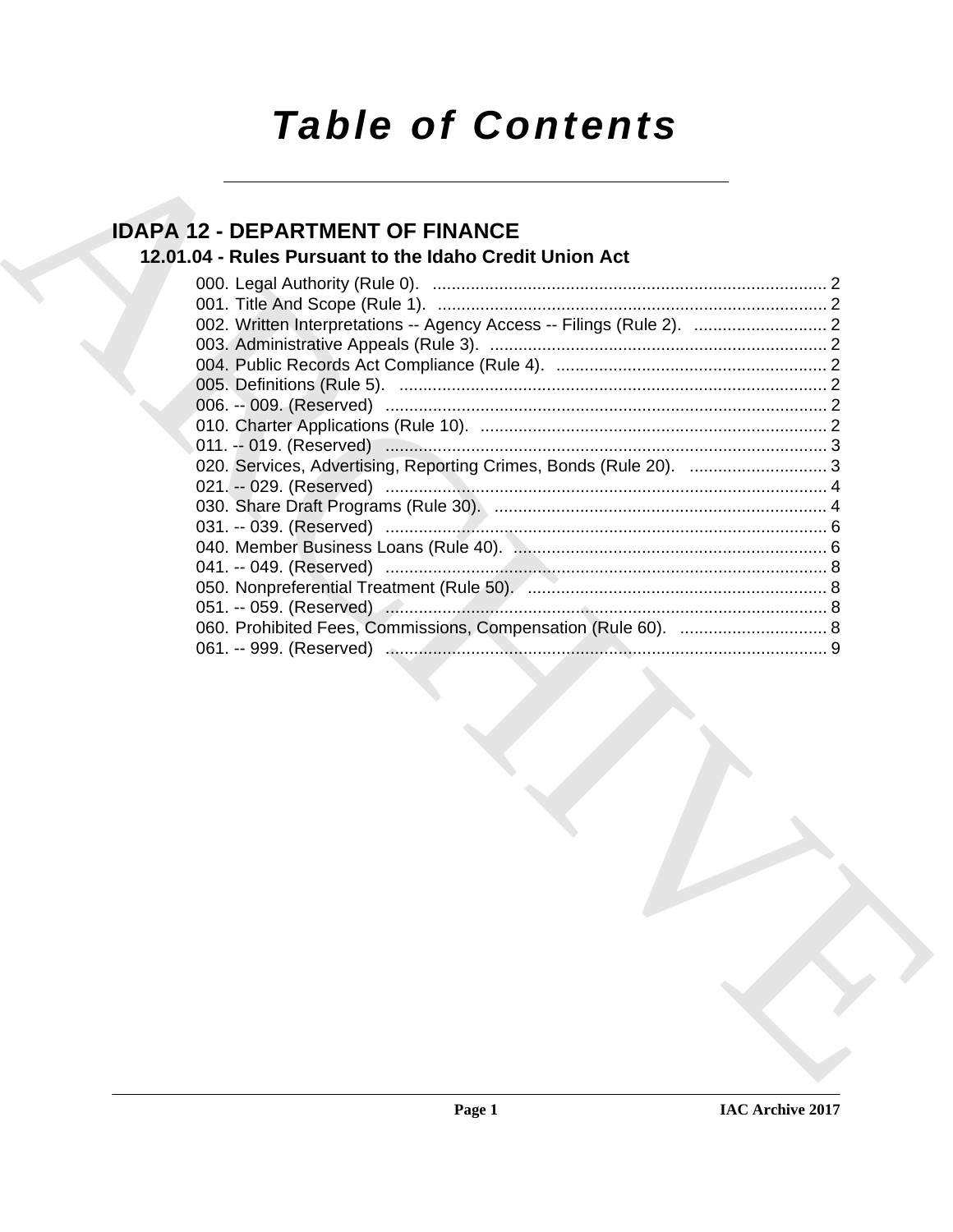# **Table of Contents**

## **IDAPA 12 - DEPARTMENT OF FINANCE**

## 12.01.04 - Rules Pursuant to the Idaho Credit Union Act

| 002. Written Interpretations -- Agency Access -- Filings (Rule 2).  2 |  |
|-----------------------------------------------------------------------|--|
|                                                                       |  |
|                                                                       |  |
|                                                                       |  |
|                                                                       |  |
|                                                                       |  |
|                                                                       |  |
| 020. Services, Advertising, Reporting Crimes, Bonds (Rule 20).  3     |  |
|                                                                       |  |
|                                                                       |  |
|                                                                       |  |
|                                                                       |  |
|                                                                       |  |
|                                                                       |  |
|                                                                       |  |
|                                                                       |  |
|                                                                       |  |
|                                                                       |  |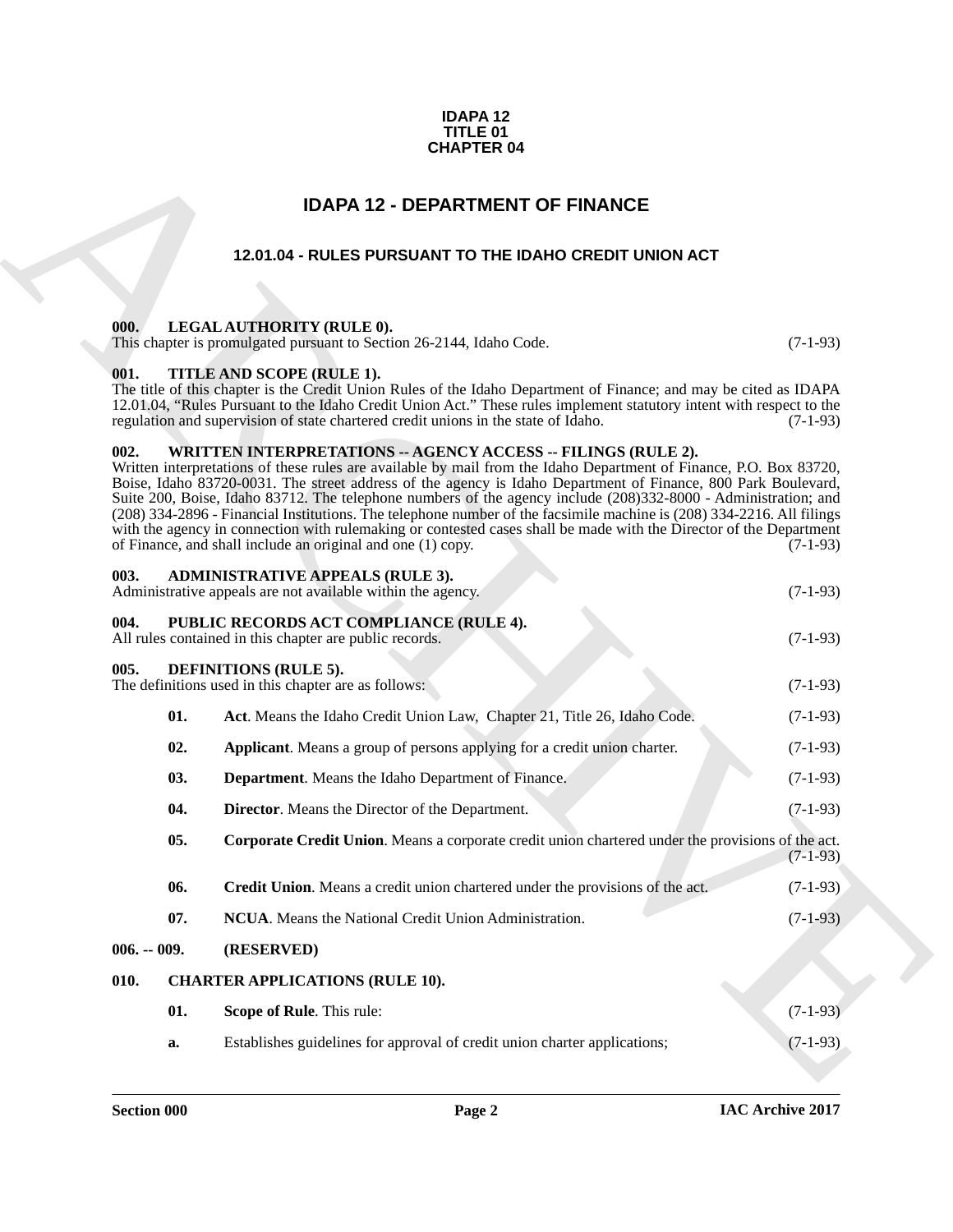#### **IDAPA 12 TITLE 01 CHAPTER 04**

### **IDAPA 12 - DEPARTMENT OF FINANCE**

### **12.01.04 - RULES PURSUANT TO THE IDAHO CREDIT UNION ACT**

#### <span id="page-1-2"></span><span id="page-1-1"></span>**000. LEGAL AUTHORITY (RULE 0).**

#### <span id="page-1-3"></span>**001. TITLE AND SCOPE (RULE 1).**

#### <span id="page-1-19"></span><span id="page-1-18"></span><span id="page-1-17"></span><span id="page-1-16"></span><span id="page-1-15"></span><span id="page-1-14"></span><span id="page-1-13"></span><span id="page-1-12"></span><span id="page-1-11"></span><span id="page-1-10"></span><span id="page-1-9"></span><span id="page-1-8"></span><span id="page-1-7"></span><span id="page-1-6"></span><span id="page-1-5"></span><span id="page-1-4"></span>**002. WRITTEN INTERPRETATIONS -- AGENCY ACCESS -- FILINGS (RULE 2).**

<span id="page-1-0"></span>

| <b>CHAPTER 04</b> |                                                                                                                                                                                                                                                                                                                                                                                                                                                                                                                                                                                                                                                                                                                                             |            |  |
|-------------------|---------------------------------------------------------------------------------------------------------------------------------------------------------------------------------------------------------------------------------------------------------------------------------------------------------------------------------------------------------------------------------------------------------------------------------------------------------------------------------------------------------------------------------------------------------------------------------------------------------------------------------------------------------------------------------------------------------------------------------------------|------------|--|
|                   | <b>IDAPA 12 - DEPARTMENT OF FINANCE</b>                                                                                                                                                                                                                                                                                                                                                                                                                                                                                                                                                                                                                                                                                                     |            |  |
|                   | 12.01.04 - RULES PURSUANT TO THE IDAHO CREDIT UNION ACT                                                                                                                                                                                                                                                                                                                                                                                                                                                                                                                                                                                                                                                                                     |            |  |
| 000.              | LEGAL AUTHORITY (RULE 0).<br>This chapter is promulgated pursuant to Section 26-2144, Idaho Code.                                                                                                                                                                                                                                                                                                                                                                                                                                                                                                                                                                                                                                           | $(7-1-93)$ |  |
| 001.              | TITLE AND SCOPE (RULE 1).<br>The title of this chapter is the Credit Union Rules of the Idaho Department of Finance; and may be cited as IDAPA<br>12.01.04, "Rules Pursuant to the Idaho Credit Union Act." These rules implement statutory intent with respect to the<br>regulation and supervision of state chartered credit unions in the state of Idaho.                                                                                                                                                                                                                                                                                                                                                                                | $(7-1-93)$ |  |
| 002.              | <b>WRITTEN INTERPRETATIONS -- AGENCY ACCESS -- FILINGS (RULE 2).</b><br>Written interpretations of these rules are available by mail from the Idaho Department of Finance, P.O. Box 83720,<br>Boise, Idaho 83720-0031. The street address of the agency is Idaho Department of Finance, 800 Park Boulevard,<br>Suite 200, Boise, Idaho 83712. The telephone numbers of the agency include (208)332-8000 - Administration; and<br>(208) 334-2896 - Financial Institutions. The telephone number of the facsimile machine is (208) 334-2216. All filings<br>with the agency in connection with rulemaking or contested cases shall be made with the Director of the Department<br>of Finance, and shall include an original and one (1) copy. | $(7-1-93)$ |  |
| 003.              | <b>ADMINISTRATIVE APPEALS (RULE 3).</b><br>Administrative appeals are not available within the agency.                                                                                                                                                                                                                                                                                                                                                                                                                                                                                                                                                                                                                                      | $(7-1-93)$ |  |
| 004.              | PUBLIC RECORDS ACT COMPLIANCE (RULE 4).<br>All rules contained in this chapter are public records.                                                                                                                                                                                                                                                                                                                                                                                                                                                                                                                                                                                                                                          | $(7-1-93)$ |  |
| 005.              | <b>DEFINITIONS (RULE 5).</b><br>The definitions used in this chapter are as follows:<br>$(7-1-93)$                                                                                                                                                                                                                                                                                                                                                                                                                                                                                                                                                                                                                                          |            |  |
| 01.               | Act. Means the Idaho Credit Union Law, Chapter 21, Title 26, Idaho Code.                                                                                                                                                                                                                                                                                                                                                                                                                                                                                                                                                                                                                                                                    | $(7-1-93)$ |  |
| 02.               | Applicant. Means a group of persons applying for a credit union charter.                                                                                                                                                                                                                                                                                                                                                                                                                                                                                                                                                                                                                                                                    | $(7-1-93)$ |  |
| 03.               | <b>Department.</b> Means the Idaho Department of Finance.                                                                                                                                                                                                                                                                                                                                                                                                                                                                                                                                                                                                                                                                                   | $(7-1-93)$ |  |
| 04.               | <b>Director.</b> Means the Director of the Department.                                                                                                                                                                                                                                                                                                                                                                                                                                                                                                                                                                                                                                                                                      | $(7-1-93)$ |  |
| 05.               | Corporate Credit Union. Means a corporate credit union chartered under the provisions of the act.                                                                                                                                                                                                                                                                                                                                                                                                                                                                                                                                                                                                                                           | $(7-1-93)$ |  |
| 06.               | Credit Union. Means a credit union chartered under the provisions of the act.                                                                                                                                                                                                                                                                                                                                                                                                                                                                                                                                                                                                                                                               | $(7-1-93)$ |  |
| 07.               | NCUA. Means the National Credit Union Administration.                                                                                                                                                                                                                                                                                                                                                                                                                                                                                                                                                                                                                                                                                       | $(7-1-93)$ |  |
| $006. - 009.$     | (RESERVED)                                                                                                                                                                                                                                                                                                                                                                                                                                                                                                                                                                                                                                                                                                                                  |            |  |
| 010.              | <b>CHARTER APPLICATIONS (RULE 10).</b>                                                                                                                                                                                                                                                                                                                                                                                                                                                                                                                                                                                                                                                                                                      |            |  |
| 01.               | Scope of Rule. This rule:                                                                                                                                                                                                                                                                                                                                                                                                                                                                                                                                                                                                                                                                                                                   | $(7-1-93)$ |  |
| a.                | Establishes guidelines for approval of credit union charter applications;                                                                                                                                                                                                                                                                                                                                                                                                                                                                                                                                                                                                                                                                   | $(7-1-93)$ |  |
|                   |                                                                                                                                                                                                                                                                                                                                                                                                                                                                                                                                                                                                                                                                                                                                             |            |  |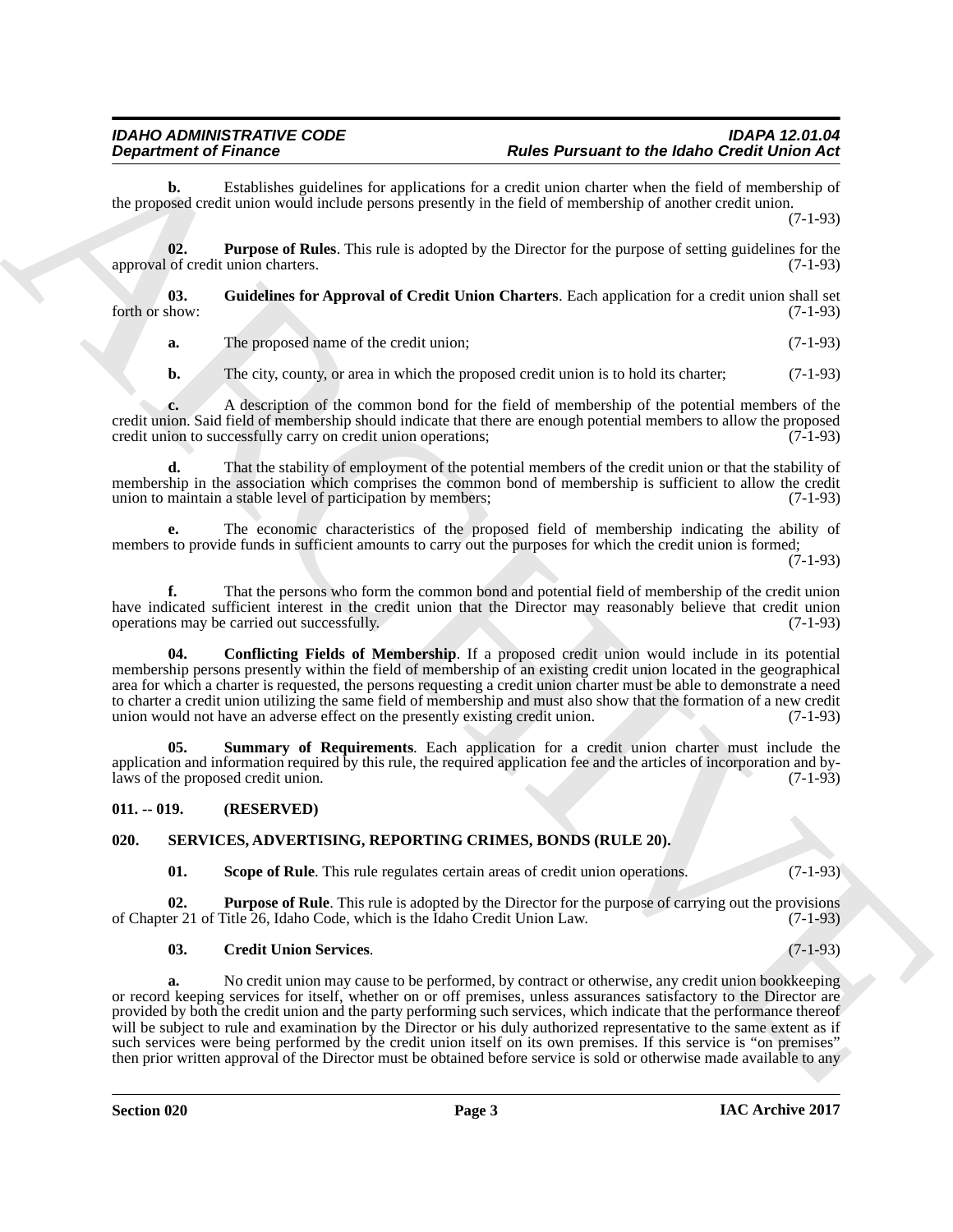### *IDAHO ADMINISTRATIVE CODE IDAPA 12.01.04 Rules Pursuant to the Idaho Credit Union Act*

**b.** Establishes guidelines for applications for a credit union charter when the field of membership of the proposed credit union would include persons presently in the field of membership of another credit union.

(7-1-93)

<span id="page-2-4"></span>**02. Purpose of Rules**. This rule is adopted by the Director for the purpose of setting guidelines for the approval of credit union charters. (7-1-93)

**03.** Guidelines for Approval of Credit Union Charters. Each application for a credit union shall set forth or show: (7-1-93) forth or show:  $(7-1-93)$ 

<span id="page-2-3"></span>**a.** The proposed name of the credit union; (7-1-93)

**b.** The city, county, or area in which the proposed credit union is to hold its charter; (7-1-93)

**c.** A description of the common bond for the field of membership of the potential members of the credit union. Said field of membership should indicate that there are enough potential members to allow the proposed credit union to successfully carry on credit union operations; (7-1-93) credit union to successfully carry on credit union operations;

**d.** That the stability of employment of the potential members of the credit union or that the stability of membership in the association which comprises the common bond of membership is sufficient to allow the credit union to maintain a stable level of participation by members; (7-1-93) union to maintain a stable level of participation by members;

**e.** The economic characteristics of the proposed field of membership indicating the ability of members to provide funds in sufficient amounts to carry out the purposes for which the credit union is formed;

(7-1-93)

**f.** That the persons who form the common bond and potential field of membership of the credit union have indicated sufficient interest in the credit union that the Director may reasonably believe that credit union operations may be carried out successfully. (7-1-93) operations may be carried out successfully.

<span id="page-2-2"></span>**04. Conflicting Fields of Membership**. If a proposed credit union would include in its potential membership persons presently within the field of membership of an existing credit union located in the geographical area for which a charter is requested, the persons requesting a credit union charter must be able to demonstrate a need to charter a credit union utilizing the same field of membership and must also show that the formation of a new credit union would not have an adverse effect on the presently existing credit union. (7-1-93) union would not have an adverse effect on the presently existing credit union.

<span id="page-2-5"></span>**05. Summary of Requirements**. Each application for a credit union charter must include the application and information required by this rule, the required application fee and the articles of incorporation and bylaws of the proposed credit union. (7-1-93)

#### <span id="page-2-0"></span>**011. -- 019. (RESERVED)**

#### <span id="page-2-1"></span>**020. SERVICES, ADVERTISING, REPORTING CRIMES, BONDS (RULE 20).**

#### <span id="page-2-9"></span><span id="page-2-8"></span><span id="page-2-6"></span>**01.** Scope of Rule. This rule regulates certain areas of credit union operations. (7-1-93)

**02. Purpose of Rule**. This rule is adopted by the Director for the purpose of carrying out the provisions of Chapter 21 of Title 26, Idaho Code, which is the Idaho Credit Union Law. (7-1-93)

#### <span id="page-2-7"></span>**03. Credit Union Services**. (7-1-93)

**Department of France Construction** and Farmington Material Parameter to the debt Construction of the Construction of the Construction of the Construction of the Construction of the Construction of the Construction of the **a.** No credit union may cause to be performed, by contract or otherwise, any credit union bookkeeping or record keeping services for itself, whether on or off premises, unless assurances satisfactory to the Director are provided by both the credit union and the party performing such services, which indicate that the performance thereof will be subject to rule and examination by the Director or his duly authorized representative to the same extent as if such services were being performed by the credit union itself on its own premises. If this service is "on premises" then prior written approval of the Director must be obtained before service is sold or otherwise made available to any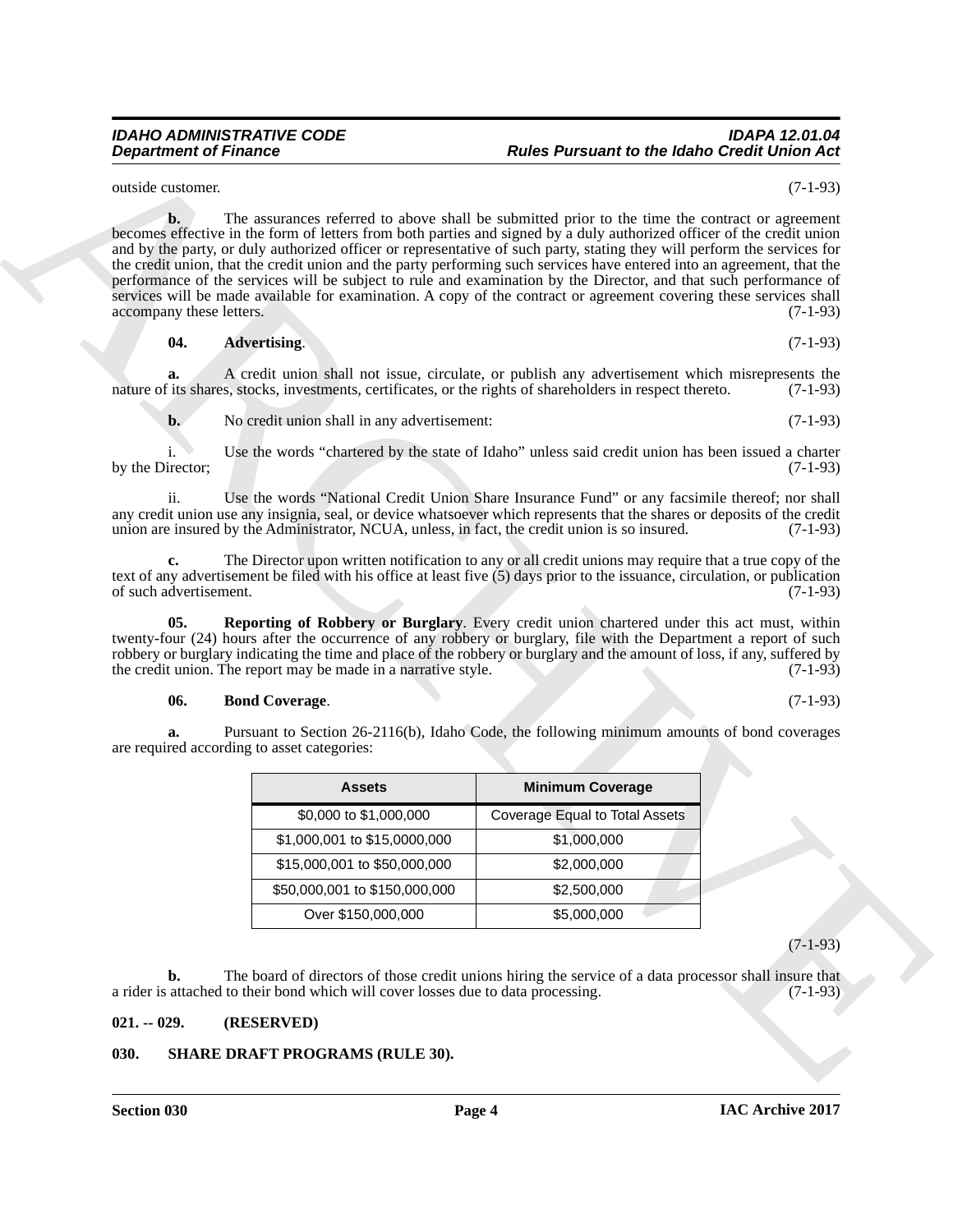#### *IDAHO ADMINISTRATIVE CODE IDAPA 12.01.04 Rules Pursuant to the Idaho Credit Union Act*

outside customer. (7-1-93)

**Experiment of Finance"**<br> **Professional Control in the Universe Control in the Universe Parameter of the ARCHIVER CONTROL CONTROL is a second to the Universe Control in the Universe Control in the Universe Control in the b.** The assurances referred to above shall be submitted prior to the time the contract or agreement becomes effective in the form of letters from both parties and signed by a duly authorized officer of the credit union and by the party, or duly authorized officer or representative of such party, stating they will perform the services for the credit union, that the credit union and the party performing such services have entered into an agreement, that the performance of the services will be subject to rule and examination by the Director, and that such performance of services will be made available for examination. A copy of the contract or agreement covering these services shall accompany these letters. (7-1-93) accompany these letters.

<span id="page-3-2"></span>**04. Advertising**. (7-1-93)

**a.** A credit union shall not issue, circulate, or publish any advertisement which misrepresents the its shares, stocks, investments, certificates, or the rights of shareholders in respect thereto. (7-1-93) nature of its shares, stocks, investments, certificates, or the rights of shareholders in respect thereto.

**b.** No credit union shall in any advertisement: (7-1-93)

i. Use the words "chartered by the state of Idaho" unless said credit union has been issued a charter by the Director; (7-1-93)

ii. Use the words "National Credit Union Share Insurance Fund" or any facsimile thereof; nor shall any credit union use any insignia, seal, or device whatsoever which represents that the shares or deposits of the credit union are insured by the Administrator, NCUA, unless, in fact, the credit union is so insured. (7-1-9 union are insured by the Administrator, NCUA, unless, in fact, the credit union is so insured.

**c.** The Director upon written notification to any or all credit unions may require that a true copy of the text of any advertisement be filed with his office at least five  $(5)$  days prior to the issuance, circulation, or publication of such advertisement. of such advertisement.

**05. Reporting of Robbery or Burglary**. Every credit union chartered under this act must, within twenty-four (24) hours after the occurrence of any robbery or burglary, file with the Department a report of such robbery or burglary indicating the time and place of the robbery or burglary and the amount of loss, if any, suffered by the credit union. The report may be made in a narrative style. (7-1-93) the credit union. The report may be made in a narrative style.

#### <span id="page-3-4"></span><span id="page-3-3"></span>**06. Bond Coverage**. (7-1-93)

**a.** Pursuant to Section 26-2116(b), Idaho Code, the following minimum amounts of bond coverages are required according to asset categories:

| <b>Minimum Coverage</b><br>Assets |                                       |
|-----------------------------------|---------------------------------------|
| \$0,000 to \$1,000,000            | <b>Coverage Equal to Total Assets</b> |
| \$1,000,001 to \$15,0000,000      | \$1,000,000                           |
| \$15,000,001 to \$50,000,000      | \$2,000,000                           |
| \$50,000,001 to \$150,000,000     | \$2,500,000                           |
| Over \$150,000,000                | \$5,000,000                           |

(7-1-93)

**b.** The board of directors of those credit unions hiring the service of a data processor shall insure that attached to their bond which will cover losses due to data processing. (7-1-93) a rider is attached to their bond which will cover losses due to data processing.

#### <span id="page-3-0"></span>**021. -- 029. (RESERVED)**

#### <span id="page-3-5"></span><span id="page-3-1"></span>**030. SHARE DRAFT PROGRAMS (RULE 30).**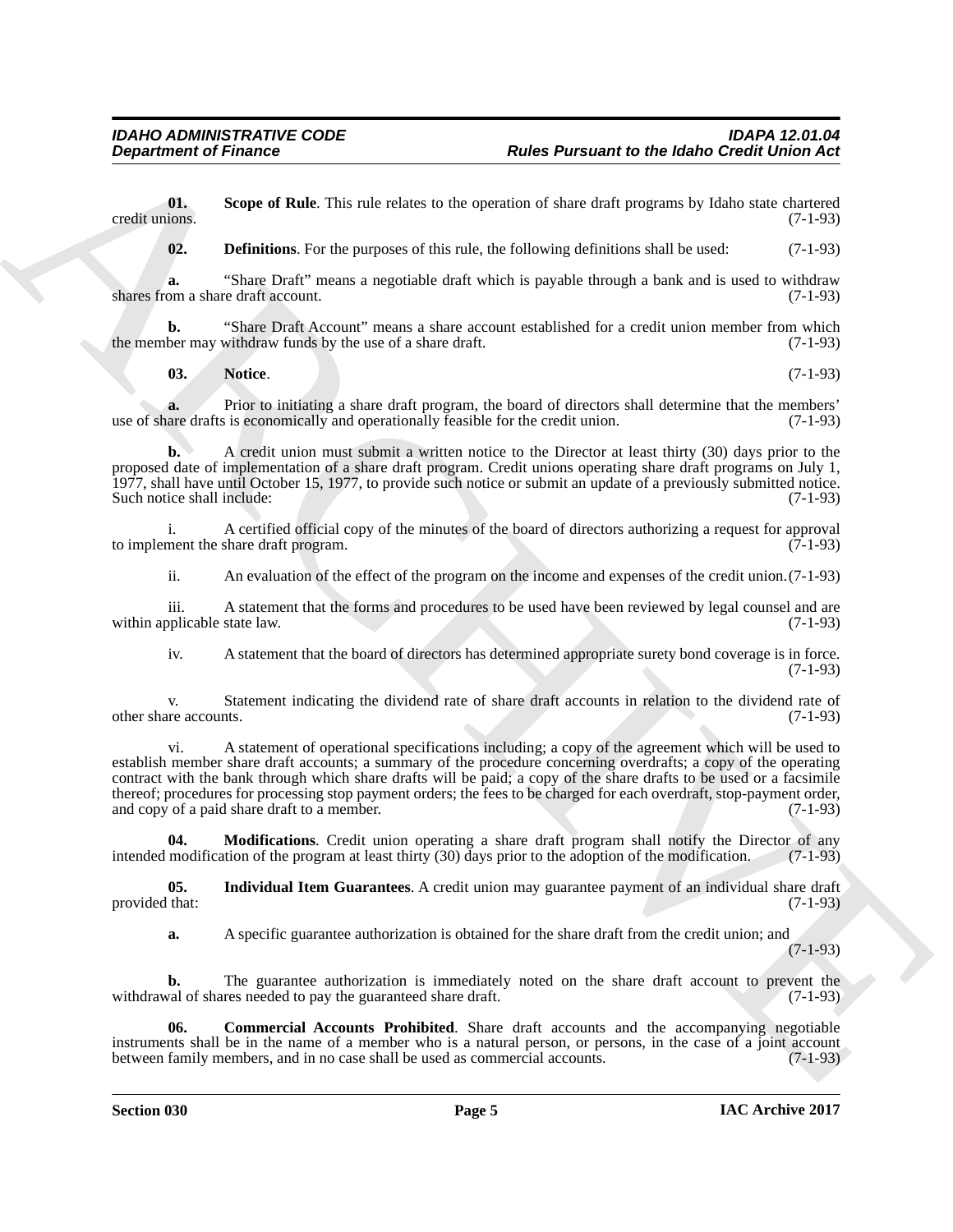**01.** Scope of Rule. This rule relates to the operation of share draft programs by Idaho state chartered credit unions. (7-1-93) credit unions. (7-1-93)

<span id="page-4-5"></span><span id="page-4-1"></span>**02. Definitions**. For the purposes of this rule, the following definitions shall be used:  $(7-1-93)$ 

**a.** "Share Draft" means a negotiable draft which is payable through a bank and is used to withdraw shares from a share draft account. (7-1-93)

**b.** "Share Draft Account" means a share account established for a credit union member from which ber may withdraw funds by the use of a share draft. (7-1-93) the member may withdraw funds by the use of a share draft.

<span id="page-4-4"></span>**03. Notice**. (7-1-93)

**a.** Prior to initiating a share draft program, the board of directors shall determine that the members' are drafts is economically and operationally feasible for the credit union. (7-1-93) use of share drafts is economically and operationally feasible for the credit union.

**b.** A credit union must submit a written notice to the Director at least thirty (30) days prior to the proposed date of implementation of a share draft program. Credit unions operating share draft programs on July 1, 1977, shall have until October 15, 1977, to provide such notice or submit an update of a previously submitted notice. Such notice shall include: (7-1-93)

i. A certified official copy of the minutes of the board of directors authorizing a request for approval to implement the share draft program. (7-1-93)

ii. An evaluation of the effect of the program on the income and expenses of the credit union.(7-1-93)

iii. A statement that the forms and procedures to be used have been reviewed by legal counsel and are oplicable state law. (7-1-93) within applicable state law.

iv. A statement that the board of directors has determined appropriate surety bond coverage is in force. (7-1-93)

v. Statement indicating the dividend rate of share draft accounts in relation to the dividend rate of other share accounts.

**Experiment of Finance Control of the United Parameter of the Marcha Control of the Control of the Control of the Control of the Control of the Control of the Control of the Control of the Control of the Control of the Co** vi. A statement of operational specifications including; a copy of the agreement which will be used to establish member share draft accounts; a summary of the procedure concerning overdrafts; a copy of the operating contract with the bank through which share drafts will be paid; a copy of the share drafts to be used or a facsimile thereof; procedures for processing stop payment orders; the fees to be charged for each overdraft, stop-payment order, and copy of a paid share draft to a member. (7-1-93)

<span id="page-4-3"></span>**04. Modifications**. Credit union operating a share draft program shall notify the Director of any modification of the program at least thirty (30) days prior to the adoption of the modification. (7-1-93) intended modification of the program at least thirty  $(30)$  days prior to the adoption of the modification.

**05.** Individual Item Guarantees. A credit union may guarantee payment of an individual share draft that: (7-1-93) provided that:

<span id="page-4-0"></span>

<span id="page-4-2"></span>**a.** A specific guarantee authorization is obtained for the share draft from the credit union; and

(7-1-93)

**b.** The guarantee authorization is immediately noted on the share draft account to prevent the val of shares needed to pay the guaranteed share draft. (7-1-93) withdrawal of shares needed to pay the guaranteed share draft.

**06. Commercial Accounts Prohibited**. Share draft accounts and the accompanying negotiable instruments shall be in the name of a member who is a natural person, or persons, in the case of a joint account<br>between family members, and in no case shall be used as commercial accounts. (7-1-93) between family members, and in no case shall be used as commercial accounts.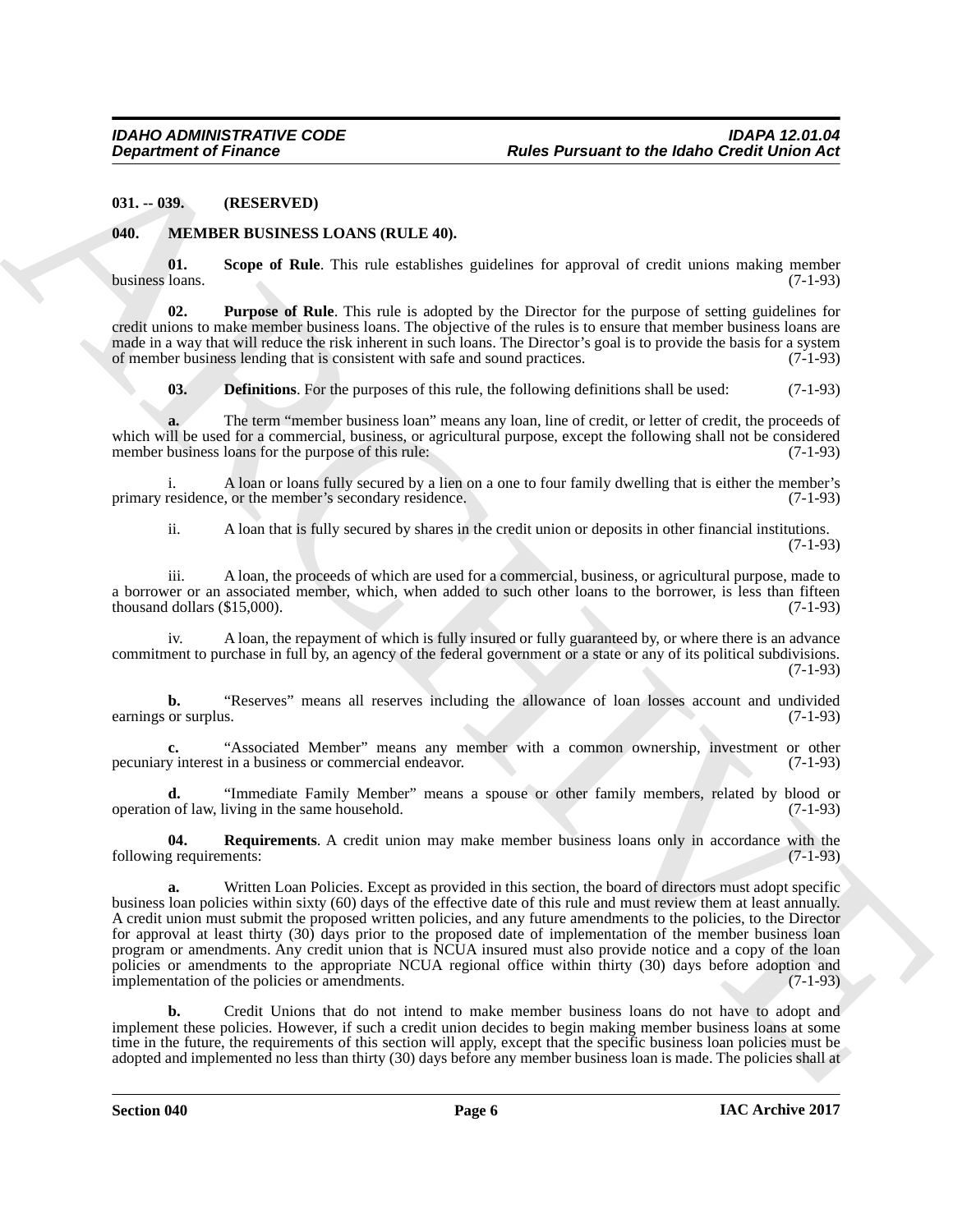<span id="page-5-0"></span>**031. -- 039. (RESERVED)**

#### <span id="page-5-2"></span><span id="page-5-1"></span>**040. MEMBER BUSINESS LOANS (RULE 40).**

<span id="page-5-6"></span>**01.** Scope of Rule. This rule establishes guidelines for approval of credit unions making member loans. (7-1-93) business loans.

**02. Purpose of Rule**. This rule is adopted by the Director for the purpose of setting guidelines for credit unions to make member business loans. The objective of the rules is to ensure that member business loans are made in a way that will reduce the risk inherent in such loans. The Director's goal is to provide the basis for a system of member business lending that is consistent with safe and sound practices. (7-1-93) of member business lending that is consistent with safe and sound practices.

<span id="page-5-4"></span><span id="page-5-3"></span>**03. Definitions**. For the purposes of this rule, the following definitions shall be used: (7-1-93)

**a.** The term "member business loan" means any loan, line of credit, or letter of credit, the proceeds of which will be used for a commercial, business, or agricultural purpose, except the following shall not be considered<br>member business loans for the purpose of this rule: (7-1-93) member business loans for the purpose of this rule:

i. A loan or loans fully secured by a lien on a one to four family dwelling that is either the member's residence. (7-1-93) primary residence, or the member's secondary residence.

ii. A loan that is fully secured by shares in the credit union or deposits in other financial institutions. (7-1-93)

iii. A loan, the proceeds of which are used for a commercial, business, or agricultural purpose, made to a borrower or an associated member, which, when added to such other loans to the borrower, is less than fifteen thousand dollars  $(\$15.000)$ .  $(7-1-93)$ thousand dollars  $(\$15,000)$ .

iv. A loan, the repayment of which is fully insured or fully guaranteed by, or where there is an advance commitment to purchase in full by, an agency of the federal government or a state or any of its political subdivisions. (7-1-93)

**b.** "Reserves" means all reserves including the allowance of loan losses account and undivided or surplus. (7-1-93) earnings or surplus.

**c.** "Associated Member" means any member with a common ownership, investment or other y interest in a business or commercial endeavor. (7-1-93) pecuniary interest in a business or commercial endeavor.

**d.** "Immediate Family Member" means a spouse or other family members, related by blood or 1 of law, living in the same household. operation of law, living in the same household.

<span id="page-5-5"></span>**04.** Requirements. A credit union may make member business loans only in accordance with the g requirements: (7-1-93) following requirements:

ARCHIVE **a.** Written Loan Policies. Except as provided in this section, the board of directors must adopt specific business loan policies within sixty (60) days of the effective date of this rule and must review them at least annually. A credit union must submit the proposed written policies, and any future amendments to the policies, to the Director for approval at least thirty (30) days prior to the proposed date of implementation of the member business loan program or amendments. Any credit union that is NCUA insured must also provide notice and a copy of the loan policies or amendments to the appropriate NCUA regional office within thirty (30) days before adoption and implementation of the policies or amendments. (7-1-93)

**b.** Credit Unions that do not intend to make member business loans do not have to adopt and implement these policies. However, if such a credit union decides to begin making member business loans at some time in the future, the requirements of this section will apply, except that the specific business loan policies must be adopted and implemented no less than thirty (30) days before any member business loan is made. The policies shall at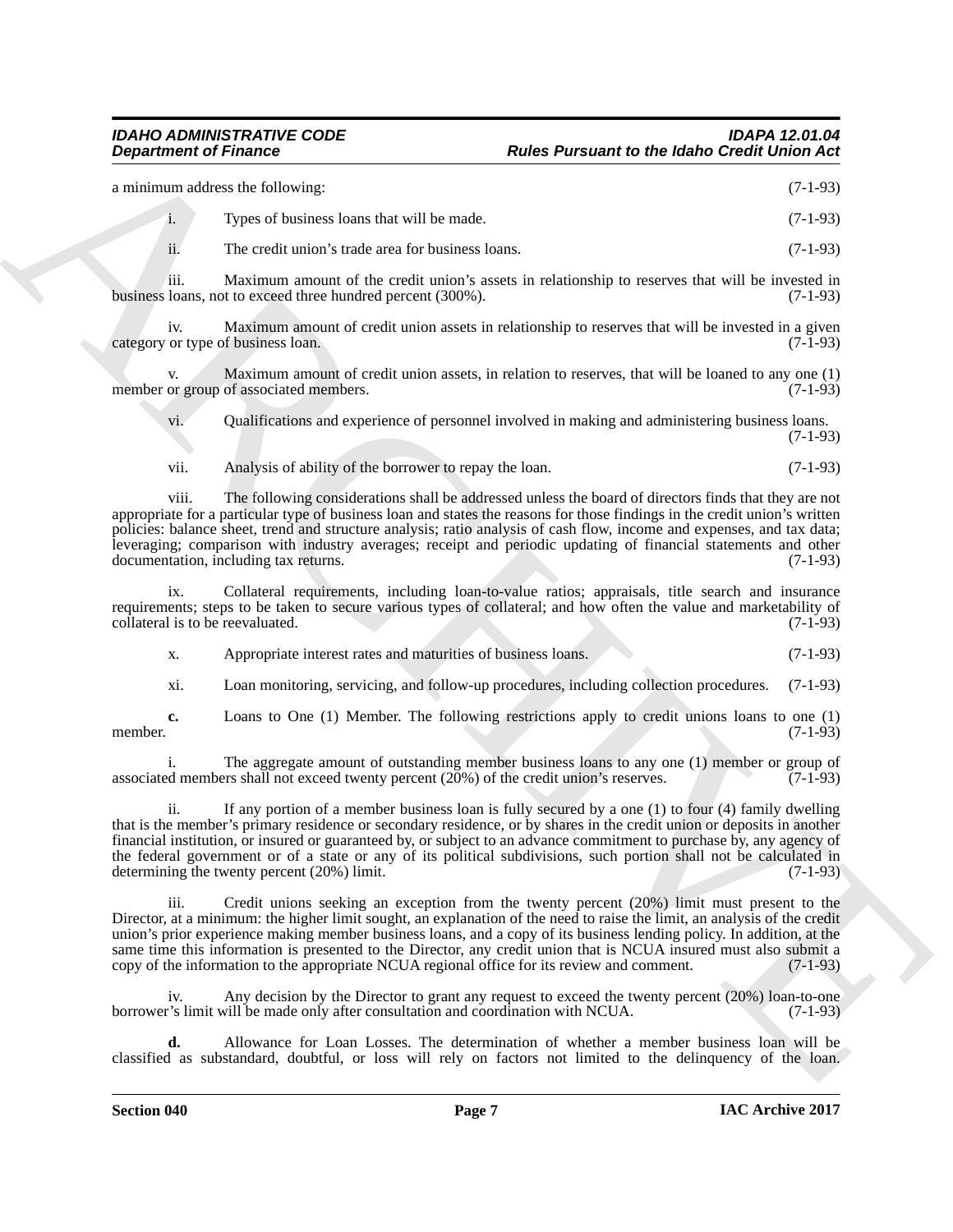| a minimum address the following: |                                            | $(7-1-93)$ |
|----------------------------------|--------------------------------------------|------------|
| 1.                               | Types of business loans that will be made. | $(7-1-93)$ |

ii. The credit union's trade area for business loans. (7-1-93)

iii. Maximum amount of the credit union's assets in relationship to reserves that will be invested in business loans, not to exceed three hundred percent (300%). (7-1-93)

iv. Maximum amount of credit union assets in relationship to reserves that will be invested in a given category or type of business loan. (7-1-93)

v. Maximum amount of credit union assets, in relation to reserves, that will be loaned to any one (1) member or group of associated members. (7-1-93)

vi. Qualifications and experience of personnel involved in making and administering business loans. (7-1-93)

vii. Analysis of ability of the borrower to repay the loan. (7-1-93)

viii. The following considerations shall be addressed unless the board of directors finds that they are not appropriate for a particular type of business loan and states the reasons for those findings in the credit union's written policies: balance sheet, trend and structure analysis; ratio analysis of cash flow, income and expenses, and tax data; leveraging; comparison with industry averages; receipt and periodic updating of financial statements and other documentation, including tax returns. (7-1-93)

ix. Collateral requirements, including loan-to-value ratios; appraisals, title search and insurance requirements; steps to be taken to secure various types of collateral; and how often the value and marketability of collateral is to be reevaluated. (7-1-93) collateral is to be reevaluated.

x. Appropriate interest rates and maturities of business loans. (7-1-93)

xi. Loan monitoring, servicing, and follow-up procedures, including collection procedures. (7-1-93)

**c.** Loans to One (1) Member. The following restrictions apply to credit unions loans to one (1) member. (7-1-93)

i. The aggregate amount of outstanding member business loans to any one (1) member or group of d members shall not exceed twenty percent (20%) of the credit union's reserves. (7-1-93) associated members shall not exceed twenty percent  $(20%)$  of the credit union's reserves.

**Equivariant of Private Comparison**<br> **Examplement of Private Comparison Comparison Comparison Comparison Comparison Comparison Comparison Comparison Comparison Comparison Comparison Comparison Comparison Comparison Compar** ii. If any portion of a member business loan is fully secured by a one (1) to four (4) family dwelling that is the member's primary residence or secondary residence, or by shares in the credit union or deposits in another financial institution, or insured or guaranteed by, or subject to an advance commitment to purchase by, any agency of the federal government or of a state or any of its political subdivisions, such portion shall not be calculated in determining the twenty percent  $(20\%)$  limit.  $(7-1-93)$ determining the twenty percent  $(20%)$  limit.

iii. Credit unions seeking an exception from the twenty percent (20%) limit must present to the Director, at a minimum: the higher limit sought, an explanation of the need to raise the limit, an analysis of the credit union's prior experience making member business loans, and a copy of its business lending policy. In addition, at the same time this information is presented to the Director, any credit union that is NCUA insured must also submit a copy of the information to the appropriate NCUA regional office for its review and comment. (7-1-93) copy of the information to the appropriate NCUA regional office for its review and comment.

iv. Any decision by the Director to grant any request to exceed the twenty percent (20%) loan-to-one borrower's limit will be made only after consultation and coordination with NCUA. (7-1-93)

**d.** Allowance for Loan Losses. The determination of whether a member business loan will be classified as substandard, doubtful, or loss will rely on factors not limited to the delinquency of the loan.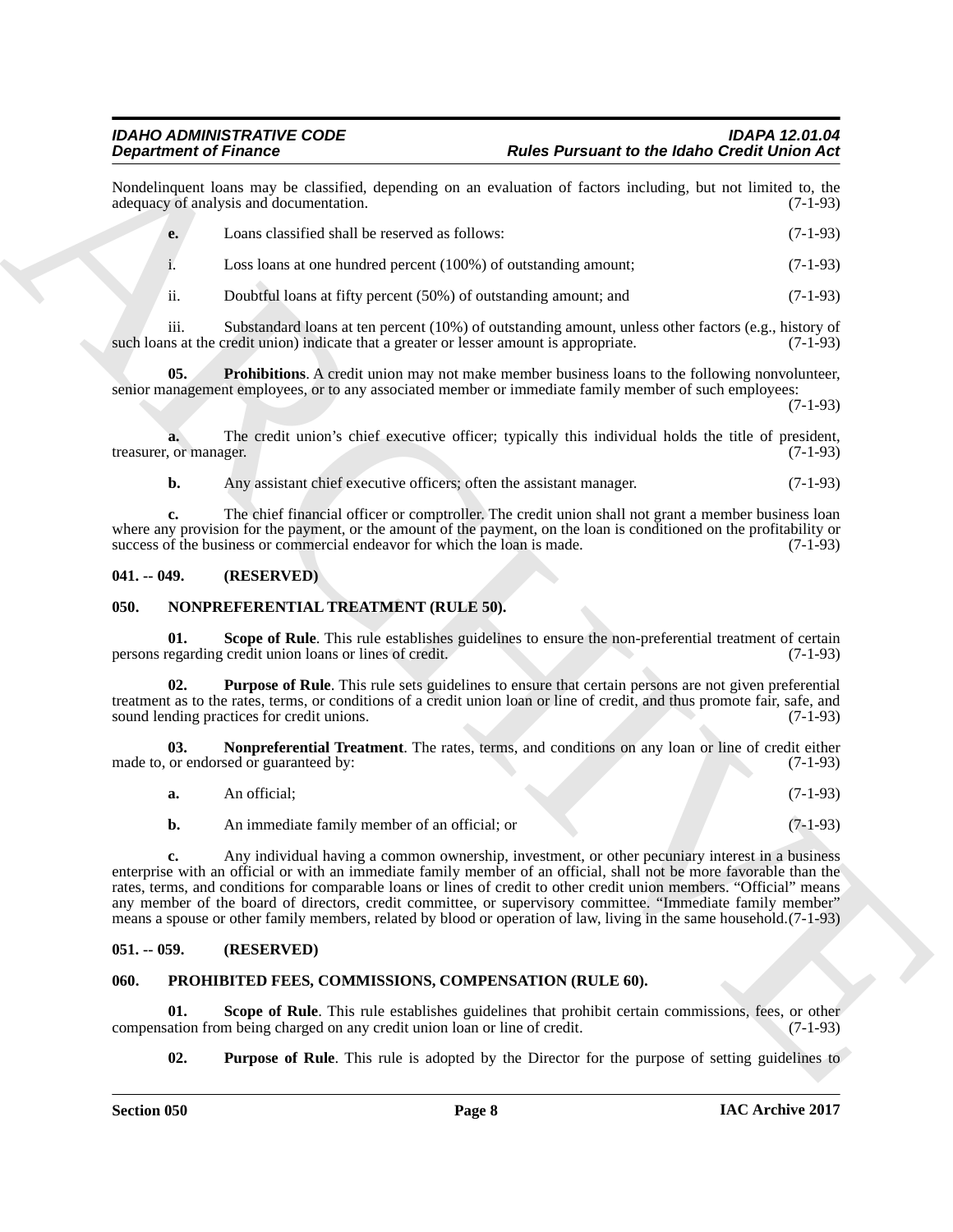Nondelinquent loans may be classified, depending on an evaluation of factors including, but not limited to, the adequacy of analysis and documentation. (7-1-93) adequacy of analysis and documentation.

| e. | Loans classified shall be reserved as follows:                  | $(7-1-93)$ |
|----|-----------------------------------------------------------------|------------|
|    | Loss loans at one hundred percent (100%) of outstanding amount; | $(7-1-93)$ |

<span id="page-7-4"></span>ii. Doubtful loans at fifty percent (50%) of outstanding amount; and (7-1-93)

iii. Substandard loans at ten percent (10%) of outstanding amount, unless other factors (e.g., history of ns at the credit union) indicate that a greater or lesser amount is appropriate. (7-1-93) such loans at the credit union) indicate that a greater or lesser amount is appropriate.

**05. Prohibitions**. A credit union may not make member business loans to the following nonvolunteer, senior management employees, or to any associated member or immediate family member of such employees:

(7-1-93)

**a.** The credit union's chief executive officer; typically this individual holds the title of president, or manager. (7-1-93) treasurer, or manager.

**b.** Any assistant chief executive officers; often the assistant manager. (7-1-93)

**c.** The chief financial officer or comptroller. The credit union shall not grant a member business loan where any provision for the payment, or the amount of the payment, on the loan is conditioned on the profitability or success of the business or commercial endeavor for which the loan is made. (7-1-93) success of the business or commercial endeavor for which the loan is made.

#### <span id="page-7-0"></span>**041. -- 049. (RESERVED)**

#### <span id="page-7-5"></span><span id="page-7-1"></span>**050. NONPREFERENTIAL TREATMENT (RULE 50).**

<span id="page-7-8"></span>**01.** Scope of Rule. This rule establishes guidelines to ensure the non-preferential treatment of certain regarding credit union loans or lines of credit. (7-1-93) persons regarding credit union loans or lines of credit.

<span id="page-7-7"></span>**Purpose of Rule**. This rule sets guidelines to ensure that certain persons are not given preferential treatment as to the rates, terms, or conditions of a credit union loan or line of credit, and thus promote fair, safe, and sound lending practices for credit unions. (7-1-93) sound lending practices for credit unions.

**03.** Nonpreferential Treatment. The rates, terms, and conditions on any loan or line of credit either or endorsed or guaranteed by:  $(7-1-93)$ made to, or endorsed or guaranteed by:

<span id="page-7-6"></span>

| a. | An official:                | $(7-1-93)$       |
|----|-----------------------------|------------------|
|    | $\sim$<br>$\cdots$ $\cdots$ | $\sqrt{2}$ 1.00) |

**b.** An immediate family member of an official; or (7-1-93)

**Experimental Franchises** of the state of the state of the Boston schedule of the State of the State of the State of the State of the State of the State of the State of the State of the State of the State of the State of **c.** Any individual having a common ownership, investment, or other pecuniary interest in a business enterprise with an official or with an immediate family member of an official, shall not be more favorable than the rates, terms, and conditions for comparable loans or lines of credit to other credit union members. "Official" means any member of the board of directors, credit committee, or supervisory committee. "Immediate family member" means a spouse or other family members, related by blood or operation of law, living in the same household.(7-1-93)

#### <span id="page-7-2"></span>**051. -- 059. (RESERVED)**

#### <span id="page-7-9"></span><span id="page-7-3"></span>**060. PROHIBITED FEES, COMMISSIONS, COMPENSATION (RULE 60).**

**01.** Scope of Rule. This rule establishes guidelines that prohibit certain commissions, fees, or other ation from being charged on any credit union loan or line of credit. (7-1-93) compensation from being charged on any credit union loan or line of credit.

<span id="page-7-11"></span><span id="page-7-10"></span>**02. Purpose of Rule**. This rule is adopted by the Director for the purpose of setting guidelines to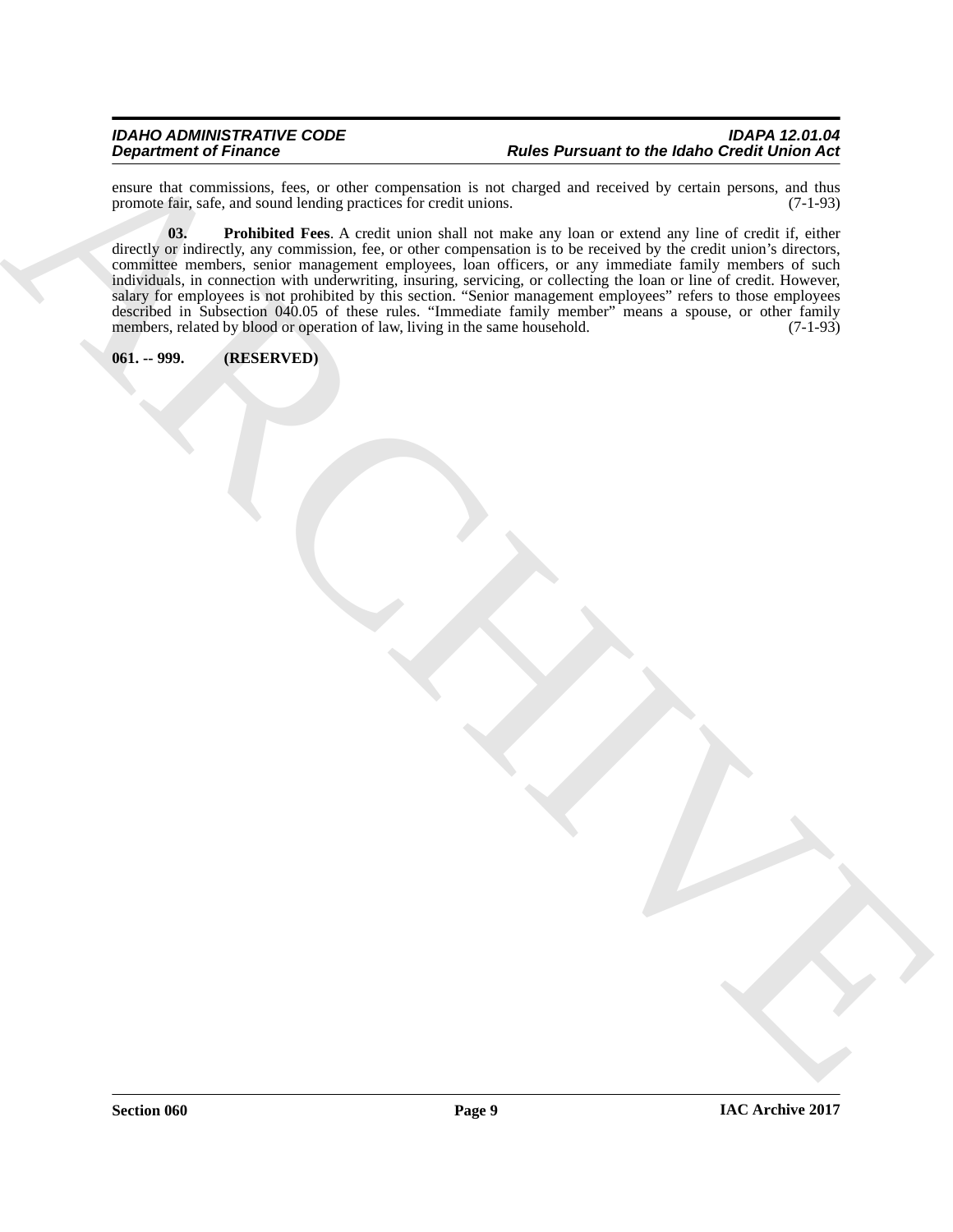#### *IDAHO ADMINISTRATIVE CODE IDAPA 12.01.04* **Rules Pursuant to the Idaho Credit Union Act**

<span id="page-8-1"></span>ensure that commissions, fees, or other compensation is not charged and received by certain persons, and thus promote fair, safe, and sound lending practices for credit unions. (7-1-93) promote fair, safe, and sound lending practices for credit unions.

Department of France C = 10. And the C and the C and the C and the C and the C and the C and the C and the C and the C and the C and the C and the C and the C and the C and the C and the C and the C and the C and the C an **03. Prohibited Fees**. A credit union shall not make any loan or extend any line of credit if, either directly or indirectly, any commission, fee, or other compensation is to be received by the credit union's directors, committee members, senior management employees, loan officers, or any immediate family members of such individuals, in connection with underwriting, insuring, servicing, or collecting the loan or line of credit. However, salary for employees is not prohibited by this section. "Senior management employees" refers to those employees described in Subsection 040.05 of these rules. "Immediate family member" means a spouse, or other family members, related by blood or operation of law, living in the same household. (7-1-93)

<span id="page-8-0"></span>**061. -- 999. (RESERVED)**